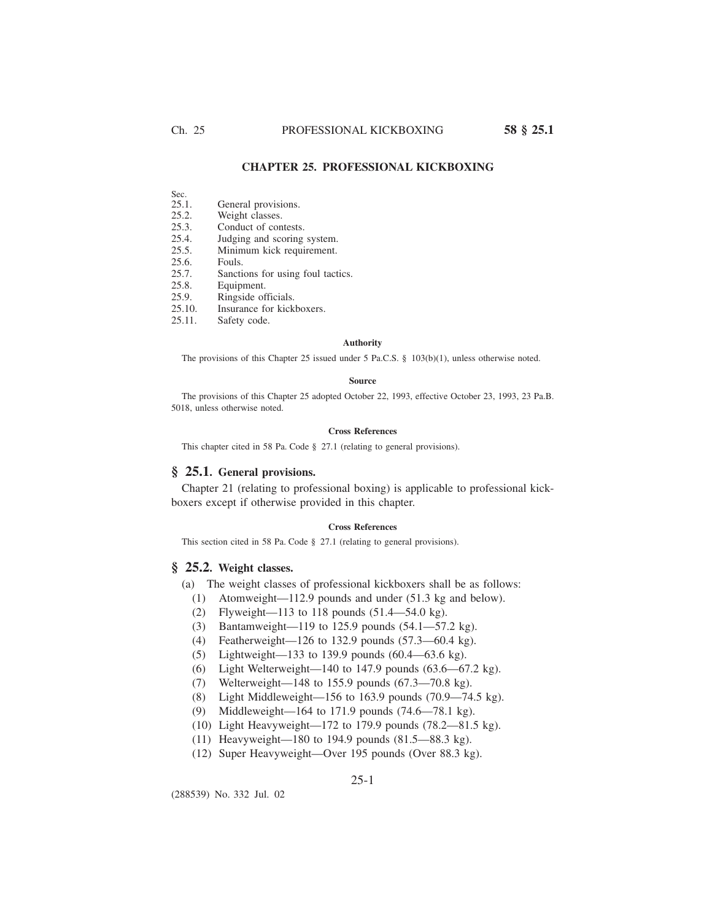# **CHAPTER 25. PROFESSIONAL KICKBOXING**

- Sec.<br>25.1.
- General provisions.
- 25.2. Weight classes.
- 25.3. Conduct of contests.
- 25.4. Judging and scoring system.
- 25.5. Minimum kick requirement.<br>25.6. Fouls.
- 25.6. Fouls.<br>25.7. Sancti
- Sanctions for using foul tactics.
- 25.8. Equipment.
- 25.9. Ringside officials.
- 25.10. Insurance for kickboxers.<br>25.11. Safety code.
- Safety code.

#### **Authority**

The provisions of this Chapter 25 issued under 5 Pa.C.S. § 103(b)(1), unless otherwise noted.

## **Source**

The provisions of this Chapter 25 adopted October 22, 1993, effective October 23, 1993, 23 Pa.B. 5018, unless otherwise noted.

## **Cross References**

This chapter cited in 58 Pa. Code § 27.1 (relating to general provisions).

# **§ 25.1. General provisions.**

Chapter 21 (relating to professional boxing) is applicable to professional kickboxers except if otherwise provided in this chapter.

### **Cross References**

This section cited in 58 Pa. Code § 27.1 (relating to general provisions).

# **§ 25.2. Weight classes.**

- (a) The weight classes of professional kickboxers shall be as follows:
	- (1) Atomweight—112.9 pounds and under (51.3 kg and below).
	- (2) Flyweight—113 to 118 pounds (51.4—54.0 kg).
	- (3) Bantamweight—119 to 125.9 pounds (54.1—57.2 kg).
	- (4) Featherweight—126 to 132.9 pounds (57.3—60.4 kg).
	- (5) Lightweight—133 to 139.9 pounds (60.4—63.6 kg).
	- (6) Light Welterweight—140 to 147.9 pounds  $(63.6 67.2 \text{ kg})$ .
	- (7) Welterweight—148 to 155.9 pounds (67.3—70.8 kg).
	- (8) Light Middleweight—156 to 163.9 pounds (70.9—74.5 kg).
	- (9) Middleweight—164 to 171.9 pounds (74.6—78.1 kg).
	- (10) Light Heavyweight—172 to 179.9 pounds (78.2—81.5 kg).
	- (11) Heavyweight—180 to 194.9 pounds (81.5—88.3 kg).
	- (12) Super Heavyweight—Over 195 pounds (Over 88.3 kg).

(288539) No. 332 Jul. 02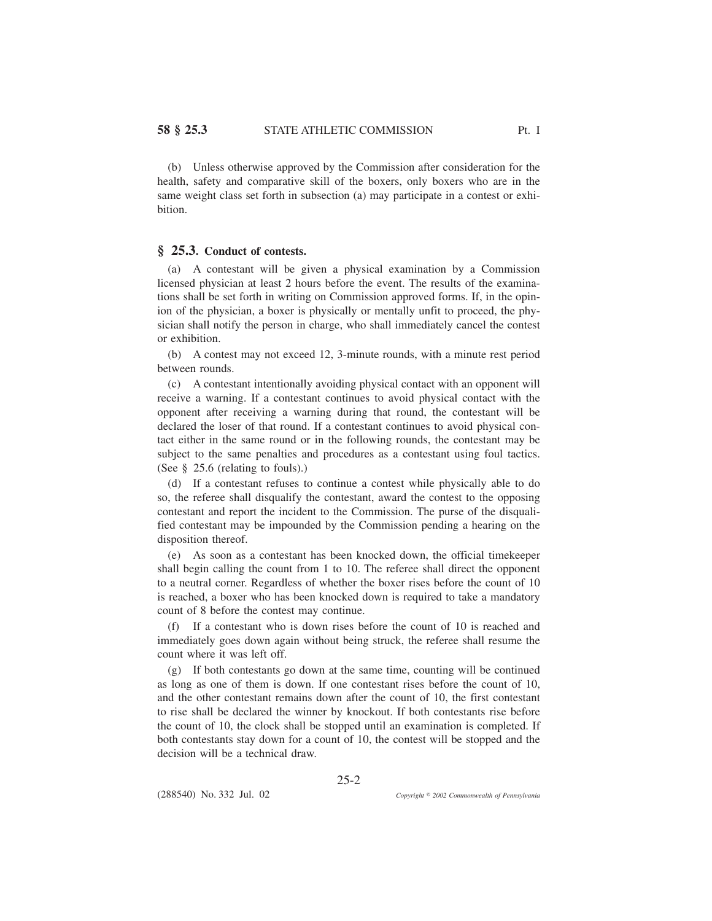(b) Unless otherwise approved by the Commission after consideration for the health, safety and comparative skill of the boxers, only boxers who are in the same weight class set forth in subsection (a) may participate in a contest or exhibition.

## **§ 25.3. Conduct of contests.**

(a) A contestant will be given a physical examination by a Commission licensed physician at least 2 hours before the event. The results of the examinations shall be set forth in writing on Commission approved forms. If, in the opinion of the physician, a boxer is physically or mentally unfit to proceed, the physician shall notify the person in charge, who shall immediately cancel the contest or exhibition.

(b) A contest may not exceed 12, 3-minute rounds, with a minute rest period between rounds.

(c) A contestant intentionally avoiding physical contact with an opponent will receive a warning. If a contestant continues to avoid physical contact with the opponent after receiving a warning during that round, the contestant will be declared the loser of that round. If a contestant continues to avoid physical contact either in the same round or in the following rounds, the contestant may be subject to the same penalties and procedures as a contestant using foul tactics. (See § 25.6 (relating to fouls).)

(d) If a contestant refuses to continue a contest while physically able to do so, the referee shall disqualify the contestant, award the contest to the opposing contestant and report the incident to the Commission. The purse of the disqualified contestant may be impounded by the Commission pending a hearing on the disposition thereof.

(e) As soon as a contestant has been knocked down, the official timekeeper shall begin calling the count from 1 to 10. The referee shall direct the opponent to a neutral corner. Regardless of whether the boxer rises before the count of 10 is reached, a boxer who has been knocked down is required to take a mandatory count of 8 before the contest may continue.

(f) If a contestant who is down rises before the count of 10 is reached and immediately goes down again without being struck, the referee shall resume the count where it was left off.

(g) If both contestants go down at the same time, counting will be continued as long as one of them is down. If one contestant rises before the count of 10, and the other contestant remains down after the count of 10, the first contestant to rise shall be declared the winner by knockout. If both contestants rise before the count of 10, the clock shall be stopped until an examination is completed. If both contestants stay down for a count of 10, the contest will be stopped and the decision will be a technical draw.

25-2

(288540) No. 332 Jul. 02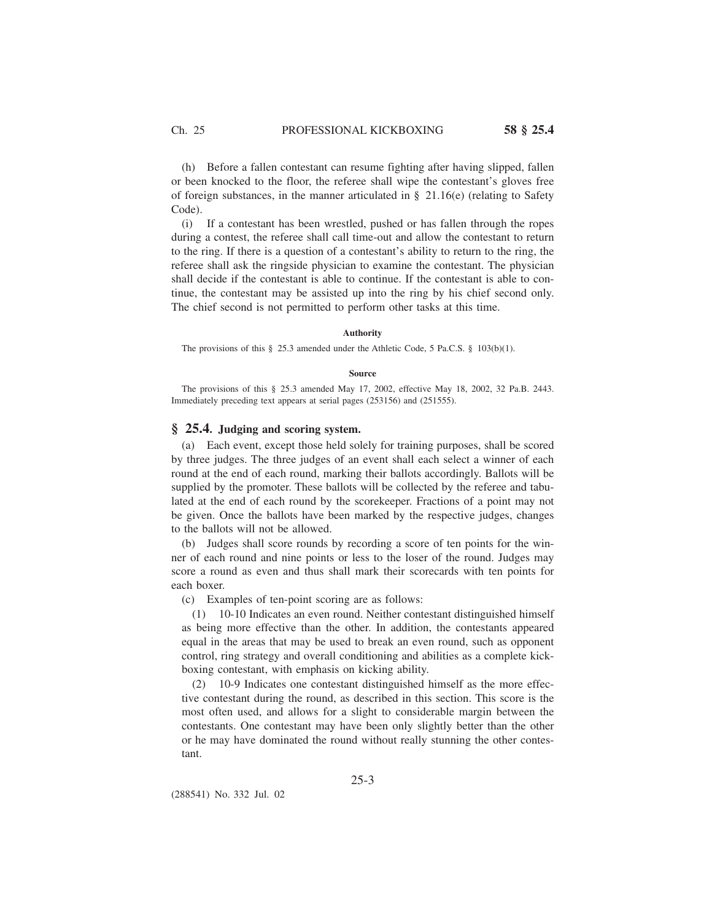(h) Before a fallen contestant can resume fighting after having slipped, fallen or been knocked to the floor, the referee shall wipe the contestant's gloves free of foreign substances, in the manner articulated in  $\S$  21.16(e) (relating to Safety Code).

(i) If a contestant has been wrestled, pushed or has fallen through the ropes during a contest, the referee shall call time-out and allow the contestant to return to the ring. If there is a question of a contestant's ability to return to the ring, the referee shall ask the ringside physician to examine the contestant. The physician shall decide if the contestant is able to continue. If the contestant is able to continue, the contestant may be assisted up into the ring by his chief second only. The chief second is not permitted to perform other tasks at this time.

### **Authority**

The provisions of this § 25.3 amended under the Athletic Code, 5 Pa.C.S. § 103(b)(1).

#### **Source**

The provisions of this § 25.3 amended May 17, 2002, effective May 18, 2002, 32 Pa.B. 2443. Immediately preceding text appears at serial pages (253156) and (251555).

# **§ 25.4. Judging and scoring system.**

(a) Each event, except those held solely for training purposes, shall be scored by three judges. The three judges of an event shall each select a winner of each round at the end of each round, marking their ballots accordingly. Ballots will be supplied by the promoter. These ballots will be collected by the referee and tabulated at the end of each round by the scorekeeper. Fractions of a point may not be given. Once the ballots have been marked by the respective judges, changes to the ballots will not be allowed.

(b) Judges shall score rounds by recording a score of ten points for the winner of each round and nine points or less to the loser of the round. Judges may score a round as even and thus shall mark their scorecards with ten points for each boxer.

(c) Examples of ten-point scoring are as follows:

(1) 10-10 Indicates an even round. Neither contestant distinguished himself as being more effective than the other. In addition, the contestants appeared equal in the areas that may be used to break an even round, such as opponent control, ring strategy and overall conditioning and abilities as a complete kickboxing contestant, with emphasis on kicking ability.

(2) 10-9 Indicates one contestant distinguished himself as the more effective contestant during the round, as described in this section. This score is the most often used, and allows for a slight to considerable margin between the contestants. One contestant may have been only slightly better than the other or he may have dominated the round without really stunning the other contestant.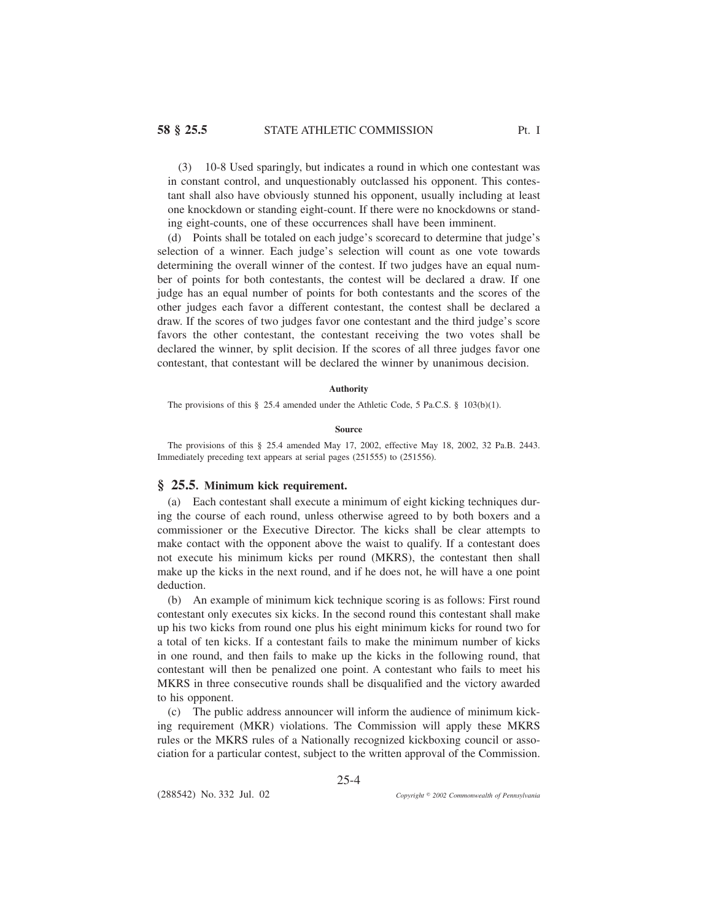(3) 10-8 Used sparingly, but indicates a round in which one contestant was in constant control, and unquestionably outclassed his opponent. This contestant shall also have obviously stunned his opponent, usually including at least one knockdown or standing eight-count. If there were no knockdowns or standing eight-counts, one of these occurrences shall have been imminent.

(d) Points shall be totaled on each judge's scorecard to determine that judge's selection of a winner. Each judge's selection will count as one vote towards determining the overall winner of the contest. If two judges have an equal number of points for both contestants, the contest will be declared a draw. If one judge has an equal number of points for both contestants and the scores of the other judges each favor a different contestant, the contest shall be declared a draw. If the scores of two judges favor one contestant and the third judge's score favors the other contestant, the contestant receiving the two votes shall be declared the winner, by split decision. If the scores of all three judges favor one contestant, that contestant will be declared the winner by unanimous decision.

## **Authority**

The provisions of this § 25.4 amended under the Athletic Code, 5 Pa.C.S. § 103(b)(1).

### **Source**

The provisions of this § 25.4 amended May 17, 2002, effective May 18, 2002, 32 Pa.B. 2443. Immediately preceding text appears at serial pages (251555) to (251556).

# **§ 25.5. Minimum kick requirement.**

(a) Each contestant shall execute a minimum of eight kicking techniques during the course of each round, unless otherwise agreed to by both boxers and a commissioner or the Executive Director. The kicks shall be clear attempts to make contact with the opponent above the waist to qualify. If a contestant does not execute his minimum kicks per round (MKRS), the contestant then shall make up the kicks in the next round, and if he does not, he will have a one point deduction.

(b) An example of minimum kick technique scoring is as follows: First round contestant only executes six kicks. In the second round this contestant shall make up his two kicks from round one plus his eight minimum kicks for round two for a total of ten kicks. If a contestant fails to make the minimum number of kicks in one round, and then fails to make up the kicks in the following round, that contestant will then be penalized one point. A contestant who fails to meet his MKRS in three consecutive rounds shall be disqualified and the victory awarded to his opponent.

(c) The public address announcer will inform the audience of minimum kicking requirement (MKR) violations. The Commission will apply these MKRS rules or the MKRS rules of a Nationally recognized kickboxing council or association for a particular contest, subject to the written approval of the Commission.

25-4

(288542) No. 332 Jul. 02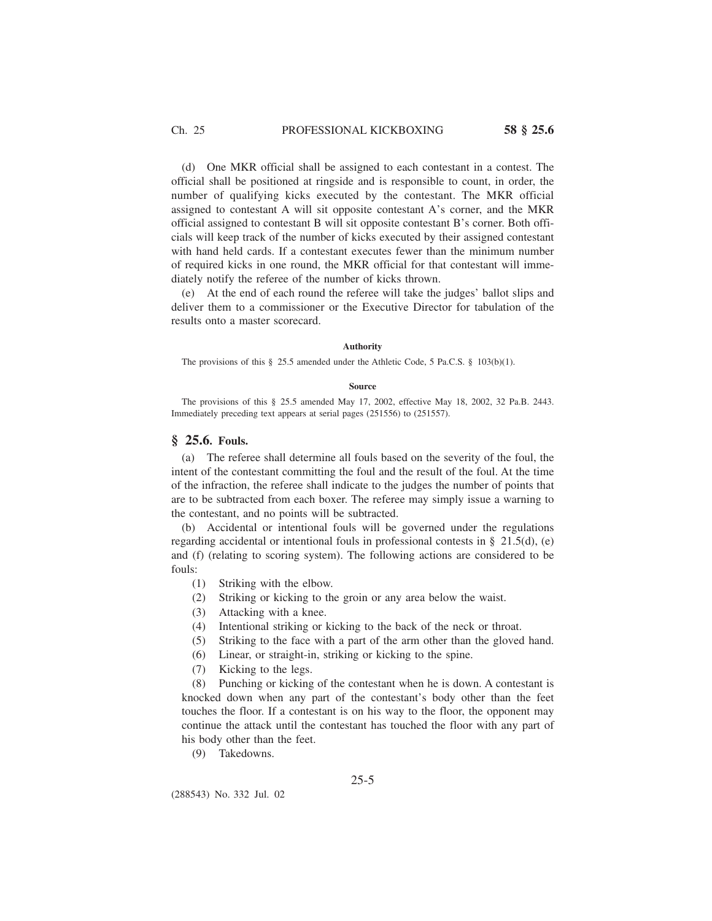(d) One MKR official shall be assigned to each contestant in a contest. The official shall be positioned at ringside and is responsible to count, in order, the number of qualifying kicks executed by the contestant. The MKR official assigned to contestant A will sit opposite contestant A's corner, and the MKR official assigned to contestant B will sit opposite contestant B's corner. Both officials will keep track of the number of kicks executed by their assigned contestant with hand held cards. If a contestant executes fewer than the minimum number of required kicks in one round, the MKR official for that contestant will immediately notify the referee of the number of kicks thrown.

(e) At the end of each round the referee will take the judges' ballot slips and deliver them to a commissioner or the Executive Director for tabulation of the results onto a master scorecard.

## **Authority**

The provisions of this § 25.5 amended under the Athletic Code, 5 Pa.C.S. § 103(b)(1).

### **Source**

The provisions of this § 25.5 amended May 17, 2002, effective May 18, 2002, 32 Pa.B. 2443. Immediately preceding text appears at serial pages (251556) to (251557).

# **§ 25.6. Fouls.**

(a) The referee shall determine all fouls based on the severity of the foul, the intent of the contestant committing the foul and the result of the foul. At the time of the infraction, the referee shall indicate to the judges the number of points that are to be subtracted from each boxer. The referee may simply issue a warning to the contestant, and no points will be subtracted.

(b) Accidental or intentional fouls will be governed under the regulations regarding accidental or intentional fouls in professional contests in § 21.5(d), (e) and (f) (relating to scoring system). The following actions are considered to be fouls:

- (1) Striking with the elbow.
- (2) Striking or kicking to the groin or any area below the waist.
- (3) Attacking with a knee.
- (4) Intentional striking or kicking to the back of the neck or throat.
- (5) Striking to the face with a part of the arm other than the gloved hand.
- (6) Linear, or straight-in, striking or kicking to the spine.
- (7) Kicking to the legs.

(8) Punching or kicking of the contestant when he is down. A contestant is knocked down when any part of the contestant's body other than the feet touches the floor. If a contestant is on his way to the floor, the opponent may continue the attack until the contestant has touched the floor with any part of his body other than the feet.

(9) Takedowns.

## 25-5

(288543) No. 332 Jul. 02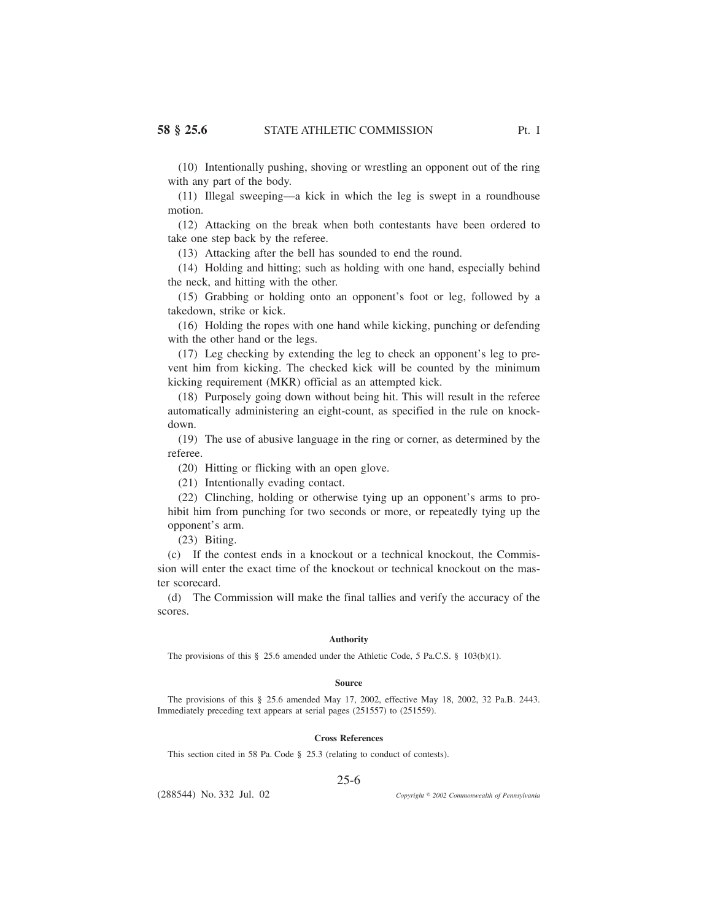(10) Intentionally pushing, shoving or wrestling an opponent out of the ring with any part of the body.

(11) Illegal sweeping—a kick in which the leg is swept in a roundhouse motion.

(12) Attacking on the break when both contestants have been ordered to take one step back by the referee.

(13) Attacking after the bell has sounded to end the round.

(14) Holding and hitting; such as holding with one hand, especially behind the neck, and hitting with the other.

(15) Grabbing or holding onto an opponent's foot or leg, followed by a takedown, strike or kick.

(16) Holding the ropes with one hand while kicking, punching or defending with the other hand or the legs.

(17) Leg checking by extending the leg to check an opponent's leg to prevent him from kicking. The checked kick will be counted by the minimum kicking requirement (MKR) official as an attempted kick.

(18) Purposely going down without being hit. This will result in the referee automatically administering an eight-count, as specified in the rule on knockdown.

(19) The use of abusive language in the ring or corner, as determined by the referee.

(20) Hitting or flicking with an open glove.

(21) Intentionally evading contact.

(22) Clinching, holding or otherwise tying up an opponent's arms to prohibit him from punching for two seconds or more, or repeatedly tying up the opponent's arm.

(23) Biting.

(c) If the contest ends in a knockout or a technical knockout, the Commission will enter the exact time of the knockout or technical knockout on the master scorecard.

(d) The Commission will make the final tallies and verify the accuracy of the scores.

#### **Authority**

The provisions of this § 25.6 amended under the Athletic Code, 5 Pa.C.S. § 103(b)(1).

#### **Source**

The provisions of this § 25.6 amended May 17, 2002, effective May 18, 2002, 32 Pa.B. 2443. Immediately preceding text appears at serial pages (251557) to (251559).

## **Cross References**

This section cited in 58 Pa. Code § 25.3 (relating to conduct of contests).

## 25-6

(288544) No. 332 Jul. 02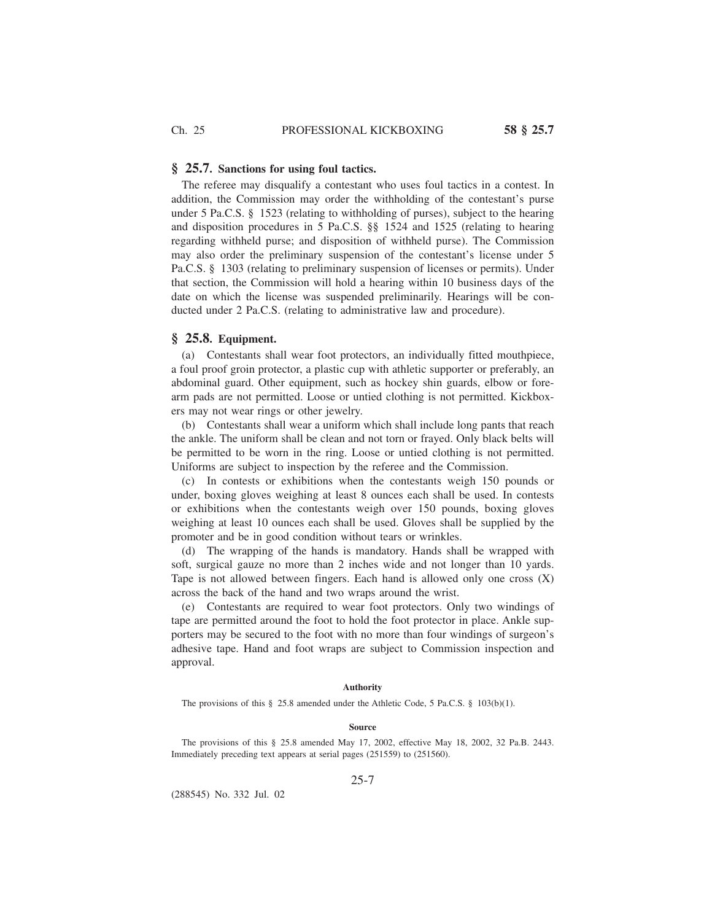### **§ 25.7. Sanctions for using foul tactics.**

The referee may disqualify a contestant who uses foul tactics in a contest. In addition, the Commission may order the withholding of the contestant's purse under 5 Pa.C.S.  $\S$  1523 (relating to withholding of purses), subject to the hearing and disposition procedures in 5 Pa.C.S. §§ 1524 and 1525 (relating to hearing regarding withheld purse; and disposition of withheld purse). The Commission may also order the preliminary suspension of the contestant's license under 5 Pa.C.S. § 1303 (relating to preliminary suspension of licenses or permits). Under that section, the Commission will hold a hearing within 10 business days of the date on which the license was suspended preliminarily. Hearings will be conducted under 2 Pa.C.S. (relating to administrative law and procedure).

# **§ 25.8. Equipment.**

(a) Contestants shall wear foot protectors, an individually fitted mouthpiece, a foul proof groin protector, a plastic cup with athletic supporter or preferably, an abdominal guard. Other equipment, such as hockey shin guards, elbow or forearm pads are not permitted. Loose or untied clothing is not permitted. Kickboxers may not wear rings or other jewelry.

(b) Contestants shall wear a uniform which shall include long pants that reach the ankle. The uniform shall be clean and not torn or frayed. Only black belts will be permitted to be worn in the ring. Loose or untied clothing is not permitted. Uniforms are subject to inspection by the referee and the Commission.

(c) In contests or exhibitions when the contestants weigh 150 pounds or under, boxing gloves weighing at least 8 ounces each shall be used. In contests or exhibitions when the contestants weigh over 150 pounds, boxing gloves weighing at least 10 ounces each shall be used. Gloves shall be supplied by the promoter and be in good condition without tears or wrinkles.

(d) The wrapping of the hands is mandatory. Hands shall be wrapped with soft, surgical gauze no more than 2 inches wide and not longer than 10 yards. Tape is not allowed between fingers. Each hand is allowed only one cross (X) across the back of the hand and two wraps around the wrist.

(e) Contestants are required to wear foot protectors. Only two windings of tape are permitted around the foot to hold the foot protector in place. Ankle supporters may be secured to the foot with no more than four windings of surgeon's adhesive tape. Hand and foot wraps are subject to Commission inspection and approval.

### **Authority**

The provisions of this § 25.8 amended under the Athletic Code, 5 Pa.C.S. § 103(b)(1).

#### **Source**

The provisions of this § 25.8 amended May 17, 2002, effective May 18, 2002, 32 Pa.B. 2443. Immediately preceding text appears at serial pages (251559) to (251560).

## 25-7

(288545) No. 332 Jul. 02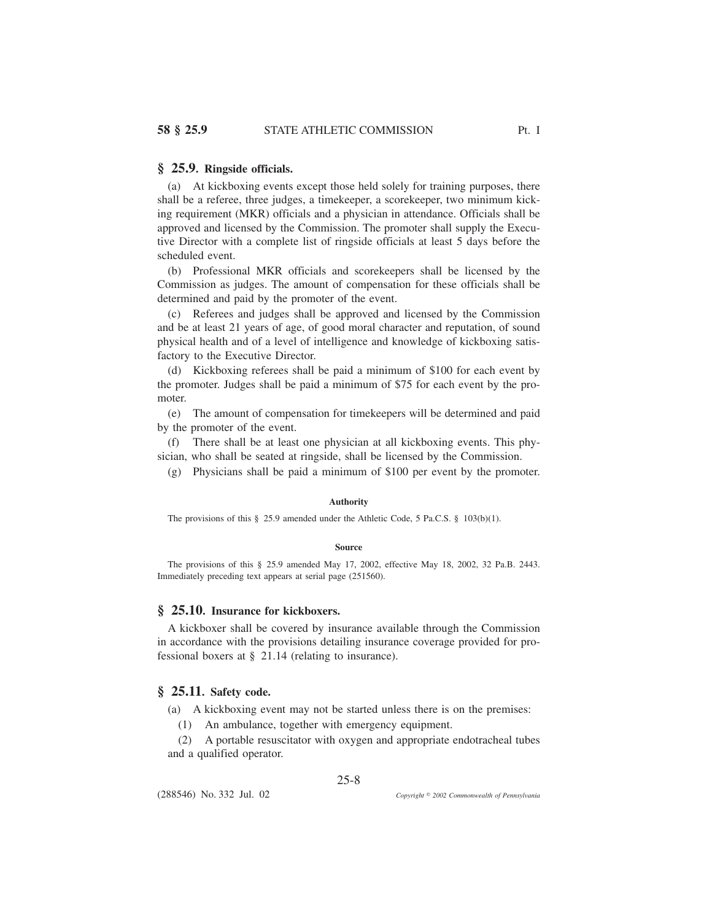# **§ 25.9. Ringside officials.**

(a) At kickboxing events except those held solely for training purposes, there shall be a referee, three judges, a timekeeper, a scorekeeper, two minimum kicking requirement (MKR) officials and a physician in attendance. Officials shall be approved and licensed by the Commission. The promoter shall supply the Executive Director with a complete list of ringside officials at least 5 days before the scheduled event.

(b) Professional MKR officials and scorekeepers shall be licensed by the Commission as judges. The amount of compensation for these officials shall be determined and paid by the promoter of the event.

(c) Referees and judges shall be approved and licensed by the Commission and be at least 21 years of age, of good moral character and reputation, of sound physical health and of a level of intelligence and knowledge of kickboxing satisfactory to the Executive Director.

(d) Kickboxing referees shall be paid a minimum of \$100 for each event by the promoter. Judges shall be paid a minimum of \$75 for each event by the promoter.

(e) The amount of compensation for timekeepers will be determined and paid by the promoter of the event.

(f) There shall be at least one physician at all kickboxing events. This physician, who shall be seated at ringside, shall be licensed by the Commission.

(g) Physicians shall be paid a minimum of \$100 per event by the promoter.

## **Authority**

The provisions of this § 25.9 amended under the Athletic Code, 5 Pa.C.S. § 103(b)(1).

#### **Source**

The provisions of this § 25.9 amended May 17, 2002, effective May 18, 2002, 32 Pa.B. 2443. Immediately preceding text appears at serial page (251560).

# **§ 25.10. Insurance for kickboxers.**

A kickboxer shall be covered by insurance available through the Commission in accordance with the provisions detailing insurance coverage provided for professional boxers at § 21.14 (relating to insurance).

# **§ 25.11. Safety code.**

(a) A kickboxing event may not be started unless there is on the premises: (1) An ambulance, together with emergency equipment.

(2) A portable resuscitator with oxygen and appropriate endotracheal tubes and a qualified operator.

25-8

(288546) No. 332 Jul. 02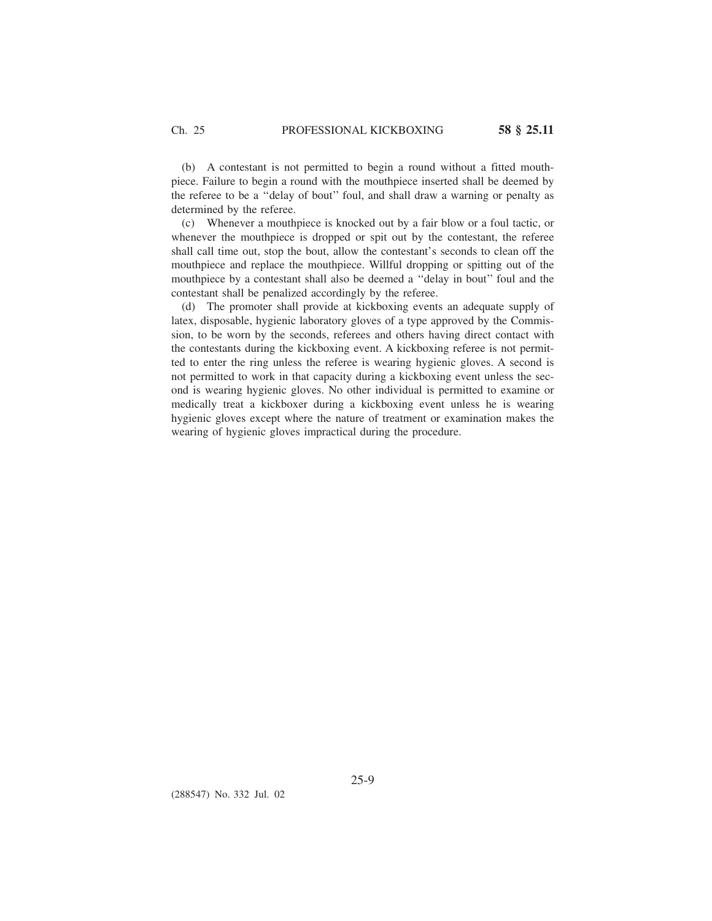(b) A contestant is not permitted to begin a round without a fitted mouthpiece. Failure to begin a round with the mouthpiece inserted shall be deemed by the referee to be a ''delay of bout'' foul, and shall draw a warning or penalty as determined by the referee.

(c) Whenever a mouthpiece is knocked out by a fair blow or a foul tactic, or whenever the mouthpiece is dropped or spit out by the contestant, the referee shall call time out, stop the bout, allow the contestant's seconds to clean off the mouthpiece and replace the mouthpiece. Willful dropping or spitting out of the mouthpiece by a contestant shall also be deemed a ''delay in bout'' foul and the contestant shall be penalized accordingly by the referee.

(d) The promoter shall provide at kickboxing events an adequate supply of latex, disposable, hygienic laboratory gloves of a type approved by the Commission, to be worn by the seconds, referees and others having direct contact with the contestants during the kickboxing event. A kickboxing referee is not permitted to enter the ring unless the referee is wearing hygienic gloves. A second is not permitted to work in that capacity during a kickboxing event unless the second is wearing hygienic gloves. No other individual is permitted to examine or medically treat a kickboxer during a kickboxing event unless he is wearing hygienic gloves except where the nature of treatment or examination makes the wearing of hygienic gloves impractical during the procedure.

(288547) No. 332 Jul. 02

25-9